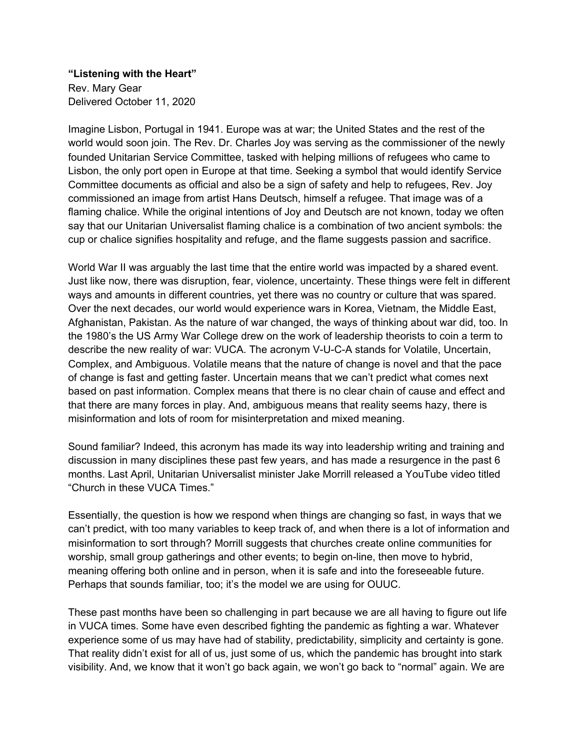**"Listening with the Heart"** Rev. Mary Gear Delivered October 11, 2020

Imagine Lisbon, Portugal in 1941. Europe was at war; the United States and the rest of the world would soon join. The Rev. Dr. Charles Joy was serving as the commissioner of the newly founded Unitarian Service Committee, tasked with helping millions of refugees who came to Lisbon, the only port open in Europe at that time. Seeking a symbol that would identify Service Committee documents as official and also be a sign of safety and help to refugees, Rev. Joy commissioned an image from artist Hans Deutsch, himself a refugee. That image was of a flaming chalice. While the original intentions of Joy and Deutsch are not known, today we often say that our Unitarian Universalist flaming chalice is a combination of two ancient symbols: the cup or chalice signifies hospitality and refuge, and the flame suggests passion and sacrifice.

World War II was arguably the last time that the entire world was impacted by a shared event. Just like now, there was disruption, fear, violence, uncertainty. These things were felt in different ways and amounts in different countries, yet there was no country or culture that was spared. Over the next decades, our world would experience wars in Korea, Vietnam, the Middle East, Afghanistan, Pakistan. As the nature of war changed, the ways of thinking about war did, too. In the 1980's the US Army War College drew on the work of leadership theorists to coin a term to describe the new reality of war: VUCA. The acronym V-U-C-A stands for Volatile, Uncertain, Complex, and Ambiguous. Volatile means that the nature of change is novel and that the pace of change is fast and getting faster. Uncertain means that we can't predict what comes next based on past information. Complex means that there is no clear chain of cause and effect and that there are many forces in play. And, ambiguous means that reality seems hazy, there is misinformation and lots of room for misinterpretation and mixed meaning.

Sound familiar? Indeed, this acronym has made its way into leadership writing and training and discussion in many disciplines these past few years, and has made a resurgence in the past 6 months. Last April, Unitarian Universalist minister Jake Morrill released a YouTube video titled "Church in these VUCA Times."

Essentially, the question is how we respond when things are changing so fast, in ways that we can't predict, with too many variables to keep track of, and when there is a lot of information and misinformation to sort through? Morrill suggests that churches create online communities for worship, small group gatherings and other events; to begin on-line, then move to hybrid, meaning offering both online and in person, when it is safe and into the foreseeable future. Perhaps that sounds familiar, too; it's the model we are using for OUUC.

These past months have been so challenging in part because we are all having to figure out life in VUCA times. Some have even described fighting the pandemic as fighting a war. Whatever experience some of us may have had of stability, predictability, simplicity and certainty is gone. That reality didn't exist for all of us, just some of us, which the pandemic has brought into stark visibility. And, we know that it won't go back again, we won't go back to "normal" again. We are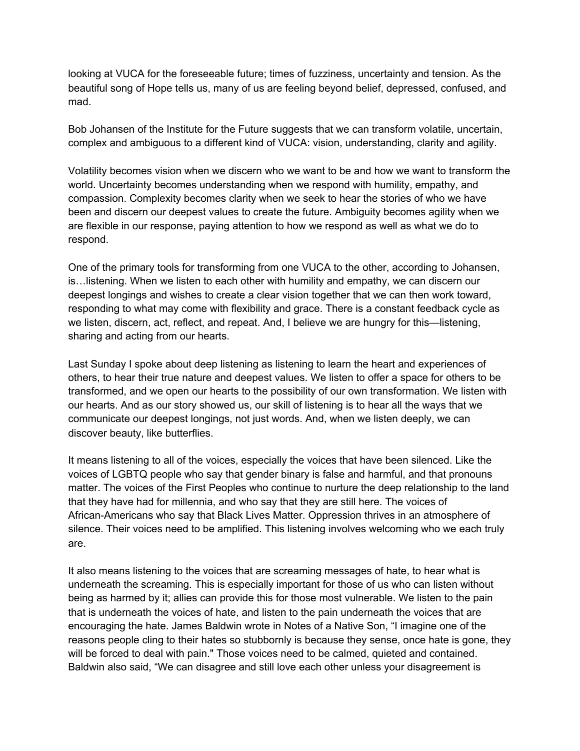looking at VUCA for the foreseeable future; times of fuzziness, uncertainty and tension. As the beautiful song of Hope tells us, many of us are feeling beyond belief, depressed, confused, and mad.

Bob Johansen of the Institute for the Future suggests that we can transform volatile, uncertain, complex and ambiguous to a different kind of VUCA: vision, understanding, clarity and agility.

Volatility becomes vision when we discern who we want to be and how we want to transform the world. Uncertainty becomes understanding when we respond with humility, empathy, and compassion. Complexity becomes clarity when we seek to hear the stories of who we have been and discern our deepest values to create the future. Ambiguity becomes agility when we are flexible in our response, paying attention to how we respond as well as what we do to respond.

One of the primary tools for transforming from one VUCA to the other, according to Johansen, is…listening. When we listen to each other with humility and empathy, we can discern our deepest longings and wishes to create a clear vision together that we can then work toward, responding to what may come with flexibility and grace. There is a constant feedback cycle as we listen, discern, act, reflect, and repeat. And, I believe we are hungry for this—listening, sharing and acting from our hearts.

Last Sunday I spoke about deep listening as listening to learn the heart and experiences of others, to hear their true nature and deepest values. We listen to offer a space for others to be transformed, and we open our hearts to the possibility of our own transformation. We listen with our hearts. And as our story showed us, our skill of listening is to hear all the ways that we communicate our deepest longings, not just words. And, when we listen deeply, we can discover beauty, like butterflies.

It means listening to all of the voices, especially the voices that have been silenced. Like the voices of LGBTQ people who say that gender binary is false and harmful, and that pronouns matter. The voices of the First Peoples who continue to nurture the deep relationship to the land that they have had for millennia, and who say that they are still here. The voices of African-Americans who say that Black Lives Matter. Oppression thrives in an atmosphere of silence. Their voices need to be amplified. This listening involves welcoming who we each truly are.

It also means listening to the voices that are screaming messages of hate, to hear what is underneath the screaming. This is especially important for those of us who can listen without being as harmed by it; allies can provide this for those most vulnerable. We listen to the pain that is underneath the voices of hate, and listen to the pain underneath the voices that are encouraging the hate. James Baldwin wrote in Notes of a Native Son, "I imagine one of the reasons people cling to their hates so stubbornly is because they sense, once hate is gone, they will be forced to deal with pain." Those voices need to be calmed, quieted and contained. Baldwin also said, "We can disagree and still love each other unless your disagreement is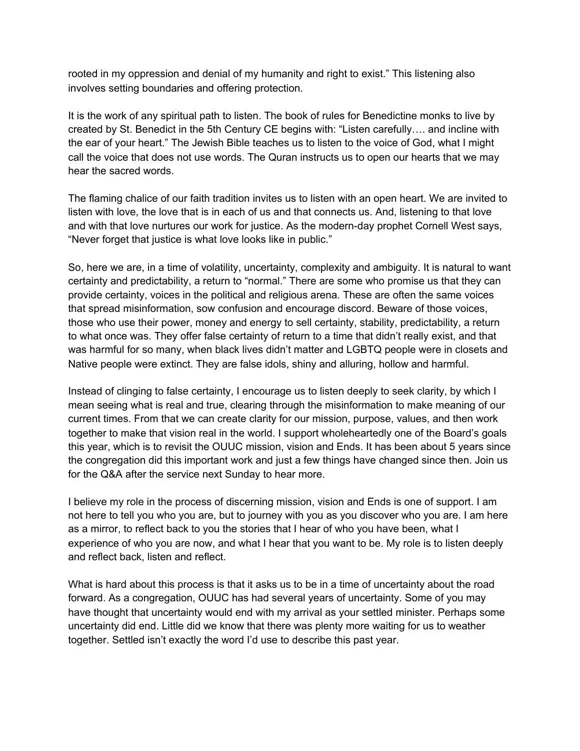rooted in my oppression and denial of my humanity and right to exist." This listening also involves setting boundaries and offering protection.

It is the work of any spiritual path to listen. The book of rules for Benedictine monks to live by created by St. Benedict in the 5th Century CE begins with: "Listen carefully…. and incline with the ear of your heart." The Jewish Bible teaches us to listen to the voice of God, what I might call the voice that does not use words. The Quran instructs us to open our hearts that we may hear the sacred words.

The flaming chalice of our faith tradition invites us to listen with an open heart. We are invited to listen with love, the love that is in each of us and that connects us. And, listening to that love and with that love nurtures our work for justice. As the modern-day prophet Cornell West says, "Never forget that justice is what love looks like in public."

So, here we are, in a time of volatility, uncertainty, complexity and ambiguity. It is natural to want certainty and predictability, a return to "normal." There are some who promise us that they can provide certainty, voices in the political and religious arena. These are often the same voices that spread misinformation, sow confusion and encourage discord. Beware of those voices, those who use their power, money and energy to sell certainty, stability, predictability, a return to what once was. They offer false certainty of return to a time that didn't really exist, and that was harmful for so many, when black lives didn't matter and LGBTQ people were in closets and Native people were extinct. They are false idols, shiny and alluring, hollow and harmful.

Instead of clinging to false certainty, I encourage us to listen deeply to seek clarity, by which I mean seeing what is real and true, clearing through the misinformation to make meaning of our current times. From that we can create clarity for our mission, purpose, values, and then work together to make that vision real in the world. I support wholeheartedly one of the Board's goals this year, which is to revisit the OUUC mission, vision and Ends. It has been about 5 years since the congregation did this important work and just a few things have changed since then. Join us for the Q&A after the service next Sunday to hear more.

I believe my role in the process of discerning mission, vision and Ends is one of support. I am not here to tell you who you are, but to journey with you as you discover who you are. I am here as a mirror, to reflect back to you the stories that I hear of who you have been, what I experience of who you are now, and what I hear that you want to be. My role is to listen deeply and reflect back, listen and reflect.

What is hard about this process is that it asks us to be in a time of uncertainty about the road forward. As a congregation, OUUC has had several years of uncertainty. Some of you may have thought that uncertainty would end with my arrival as your settled minister. Perhaps some uncertainty did end. Little did we know that there was plenty more waiting for us to weather together. Settled isn't exactly the word I'd use to describe this past year.